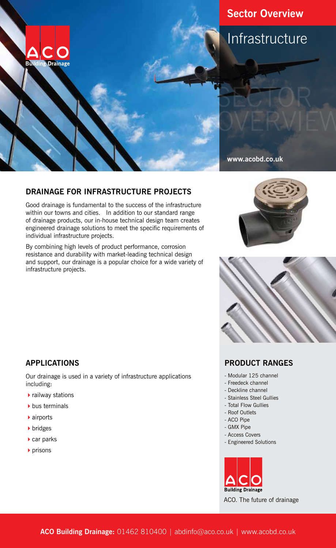

# **Sector Overview**

# Infrastructure

#### **www.acobd.co.uk**

## **DRAINAGE FOR INFRASTRUCTURE PROJECTS**

Good drainage is fundamental to the success of the infrastructure within our towns and cities. In addition to our standard range of drainage products, our in-house technical design team creates engineered drainage solutions to meet the specific requirements of individual infrastructure projects.

By combining high levels of product performance, corrosion resistance and durability with market-leading technical design and support, our drainage is a popular choice for a wide variety of infrastructure projects.





## **APPLICATIONS**

Our drainage is used in a variety of infrastructure applications including:

- $\blacktriangleright$  railway stations
- $\blacktriangleright$  bus terminals
- $\blacktriangleright$  airports
- $\triangleright$  bridges
- $\blacktriangleright$  car parks
- $\rho$  prisons

#### **PRODUCT RANGES**

- Modular 125 channel
- Freedeck channel
- Deckline channel
- Stainless Steel Gullies
- Total Flow Gullies
- Roof Outlets
- ACO Pipe
- GMX Pipe
- Access Covers
- Engineered Solutions



ACO. The future of drainage